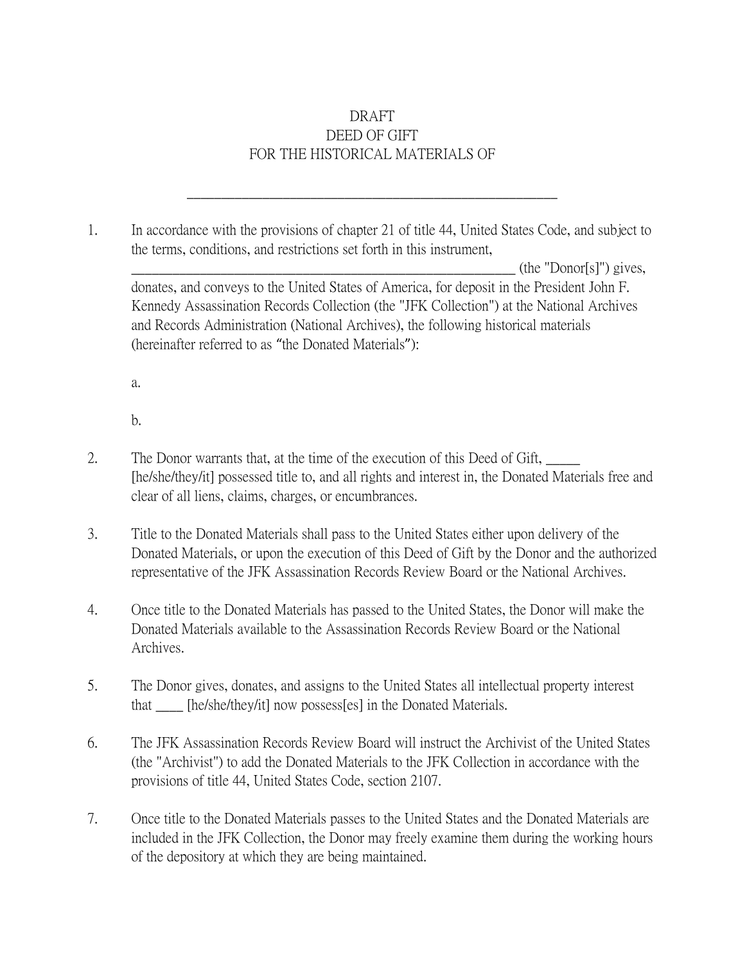## DRAFT DEED OF GIFT FOR THE HISTORICAL MATERIALS OF

1. In accordance with the provisions of chapter 21 of title 44, United States Code, and subject to the terms, conditions, and restrictions set forth in this instrument,

\_\_\_\_\_\_\_\_\_\_\_\_\_\_\_\_\_\_\_\_\_\_\_\_\_\_\_\_\_\_\_\_\_\_\_\_\_\_\_\_\_\_\_\_\_\_\_\_\_\_\_\_\_\_

 $(\text{the "Donor[s]") gives,$ donates, and conveys to the United States of America, for deposit in the President John F. Kennedy Assassination Records Collection (the "JFK Collection") at the National Archives and Records Administration (National Archives), the following historical materials (hereinafter referred to as "the Donated Materials"):

a.

b.

- 2. The Donor warrants that, at the time of the execution of this Deed of Gift, [he/she/they/it] possessed title to, and all rights and interest in, the Donated Materials free and clear of all liens, claims, charges, or encumbrances.
- 3. Title to the Donated Materials shall pass to the United States either upon delivery of the Donated Materials, or upon the execution of this Deed of Gift by the Donor and the authorized representative of the JFK Assassination Records Review Board or the National Archives.
- 4. Once title to the Donated Materials has passed to the United States, the Donor will make the Donated Materials available to the Assassination Records Review Board or the National Archives.
- 5. The Donor gives, donates, and assigns to the United States all intellectual property interest that [he/she/they/it] now possess[es] in the Donated Materials.
- 6. The JFK Assassination Records Review Board will instruct the Archivist of the United States (the "Archivist") to add the Donated Materials to the JFK Collection in accordance with the provisions of title 44, United States Code, section 2107.
- 7. Once title to the Donated Materials passes to the United States and the Donated Materials are included in the JFK Collection, the Donor may freely examine them during the working hours of the depository at which they are being maintained.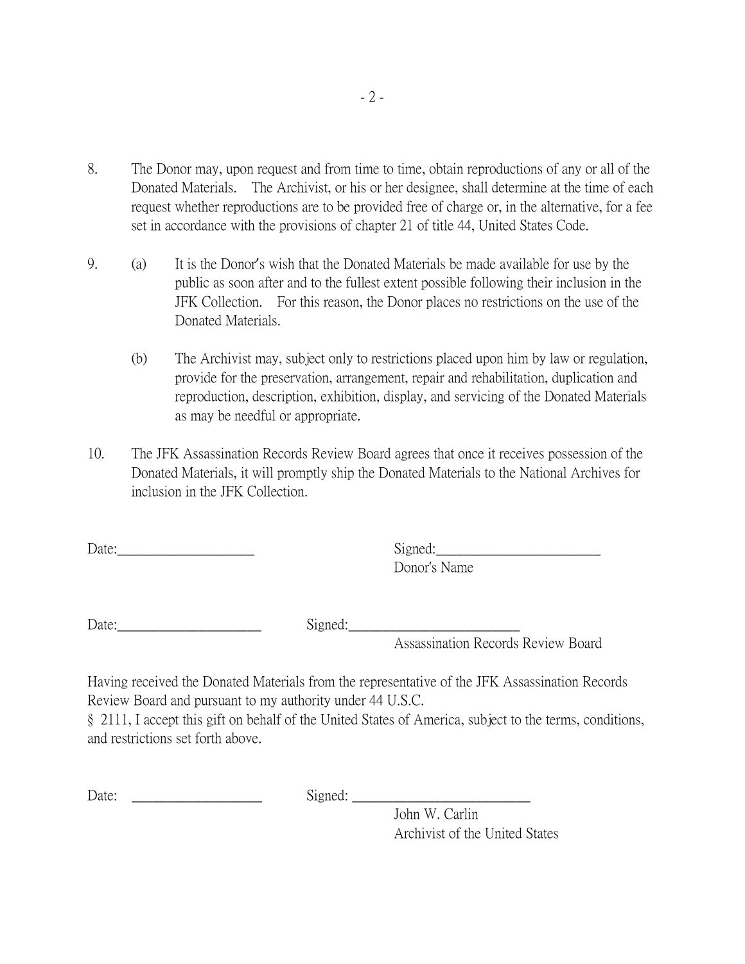- 8. The Donor may, upon request and from time to time, obtain reproductions of any or all of the Donated Materials. The Archivist, or his or her designee, shall determine at the time of each request whether reproductions are to be provided free of charge or, in the alternative, for a fee set in accordance with the provisions of chapter 21 of title 44, United States Code.
- 9. (a) It is the Donor's wish that the Donated Materials be made available for use by the public as soon after and to the fullest extent possible following their inclusion in the JFK Collection. For this reason, the Donor places no restrictions on the use of the Donated Materials.
	- (b) The Archivist may, subject only to restrictions placed upon him by law or regulation, provide for the preservation, arrangement, repair and rehabilitation, duplication and reproduction, description, exhibition, display, and servicing of the Donated Materials as may be needful or appropriate.
- 10. The JFK Assassination Records Review Board agrees that once it receives possession of the Donated Materials, it will promptly ship the Donated Materials to the National Archives for inclusion in the JFK Collection.

Date: Signed: Donor's Name

Date:\_\_\_\_\_\_\_\_\_\_\_\_\_\_\_\_\_\_\_\_\_ Signed:\_\_\_\_\_\_\_\_\_\_\_\_\_\_\_\_\_\_\_\_\_\_\_\_\_

Assassination Records Review Board

Having received the Donated Materials from the representative of the JFK Assassination Records Review Board and pursuant to my authority under 44 U.S.C.

§ 2111, I accept this gift on behalf of the United States of America, subject to the terms, conditions, and restrictions set forth above.

Date:  $\Box$ 

John W. Carlin Archivist of the United States